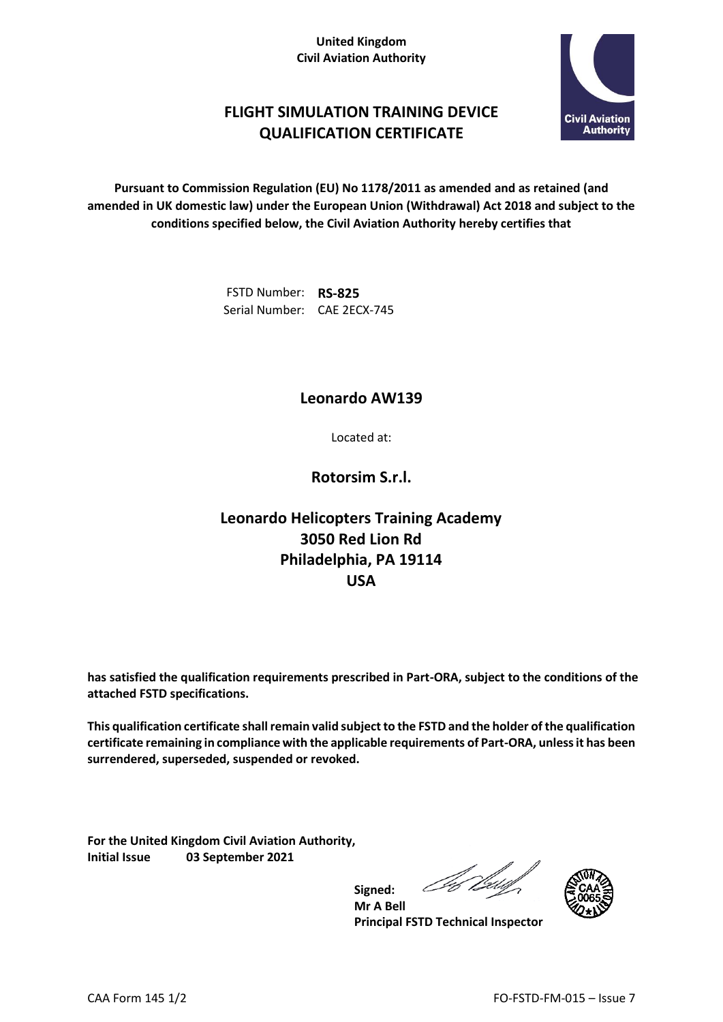#### **United Kingdom Civil Aviation Authority**



## **FLIGHT SIMULATION TRAINING DEVICE QUALIFICATION CERTIFICATE**

**Pursuant to Commission Regulation (EU) No 1178/2011 as amended and as retained (and amended in UK domestic law) under the European Union (Withdrawal) Act 2018 and subject to the conditions specified below, the Civil Aviation Authority hereby certifies that**

> FSTD Number: **RS-825** Serial Number: CAE 2ECX-745

### **Leonardo AW139**

Located at:

**Rotorsim S.r.l.**

# **Leonardo Helicopters Training Academy 3050 Red Lion Rd Philadelphia, PA 19114 USA**

**has satisfied the qualification requirements prescribed in Part-ORA, subject to the conditions of the attached FSTD specifications.**

**This qualification certificate shall remain valid subject to the FSTD and the holder of the qualification certificate remaining in compliance with the applicable requirements of Part-ORA, unless it has been surrendered, superseded, suspended or revoked.**

**Signed:**

**For the United Kingdom Civil Aviation Authority, Initial Issue 03 September 2021**

Der



**Mr A Bell Principal FSTD Technical Inspector**